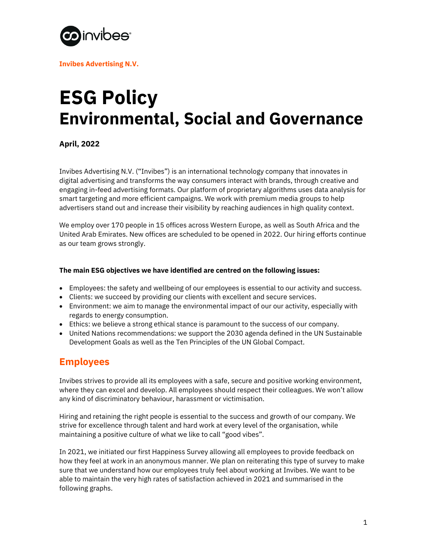

**Invibes Advertising N.V.**

# **ESG Policy Environmental, Social and Governance**

**April, 2022**

Invibes Advertising N.V. ("Invibes") is an international technology company that innovates in digital advertising and transforms the way consumers interact with brands, through creative and engaging in-feed advertising formats. Our platform of proprietary algorithms uses data analysis for smart targeting and more efficient campaigns. We work with premium media groups to help advertisers stand out and increase their visibility by reaching audiences in high quality context.

We employ over 170 people in 15 offices across Western Europe, as well as South Africa and the United Arab Emirates. New offices are scheduled to be opened in 2022. Our hiring efforts continue as our team grows strongly.

#### **The main ESG objectives we have identified are centred on the following issues:**

- Employees: the safety and wellbeing of our employees is essential to our activity and success.
- Clients: we succeed by providing our clients with excellent and secure services.
- Environment: we aim to manage the environmental impact of our our activity, especially with regards to energy consumption.
- Ethics: we believe a strong ethical stance is paramount to the success of our company.
- United Nations recommendations: we support the 2030 agenda defined in the UN Sustainable Development Goals as well as the Ten Principles of the UN Global Compact.

# **Employees**

Invibes strives to provide all its employees with a safe, secure and positive working environment, where they can excel and develop. All employees should respect their colleagues. We won't allow any kind of discriminatory behaviour, harassment or victimisation.

Hiring and retaining the right people is essential to the success and growth of our company. We strive for excellence through talent and hard work at every level of the organisation, while maintaining a positive culture of what we like to call "good vibes".

In 2021, we initiated our first Happiness Survey allowing all employees to provide feedback on how they feel at work in an anonymous manner. We plan on reiterating this type of survey to make sure that we understand how our employees truly feel about working at Invibes. We want to be able to maintain the very high rates of satisfaction achieved in 2021 and summarised in the following graphs.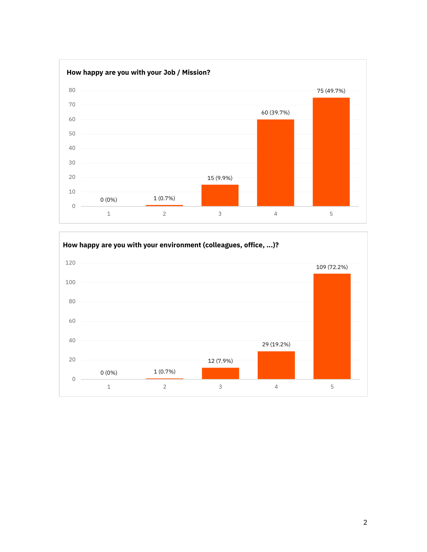

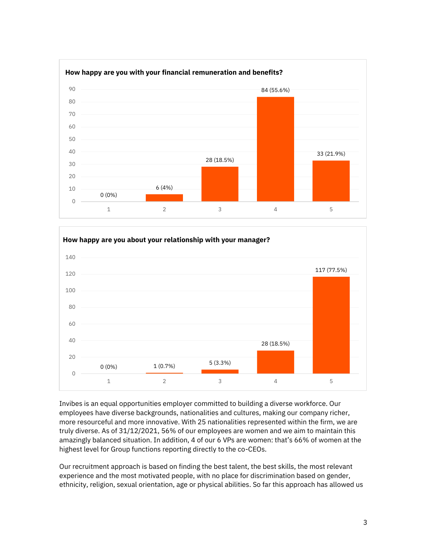



Invibes is an equal opportunities employer committed to building a diverse workforce. Our employees have diverse backgrounds, nationalities and cultures, making our company richer, more resourceful and more innovative. With 25 nationalities represented within the firm, we are truly diverse. As of 31/12/2021, 56% of our employees are women and we aim to maintain this amazingly balanced situation. In addition, 4 of our 6 VPs are women: that's 66% of women at the highest level for Group functions reporting directly to the co-CEOs.

Our recruitment approach is based on finding the best talent, the best skills, the most relevant experience and the most motivated people, with no place for discrimination based on gender, ethnicity, religion, sexual orientation, age or physical abilities. So far this approach has allowed us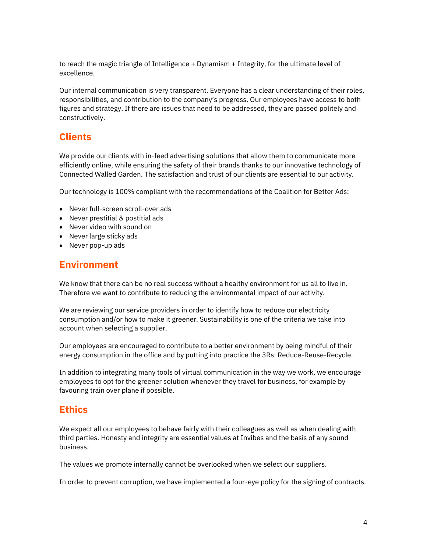to reach the magic triangle of Intelligence + Dynamism + Integrity, for the ultimate level of excellence.

Our internal communication is very transparent. Everyone has a clear understanding of their roles, responsibilities, and contribution to the company's progress. Our employees have access to both figures and strategy. If there are issues that need to be addressed, they are passed politely and constructively.

## **Clients**

We provide our clients with in-feed advertising solutions that allow them to communicate more efficiently online, while ensuring the safety of their brands thanks to our innovative technology of Connected Walled Garden. The satisfaction and trust of our clients are essential to our activity.

Our technology is 100% compliant with the recommendations of the Coalition for Better Ads:

- Never full-screen scroll-over ads
- Never prestitial & postitial ads
- Never video with sound on
- Never large sticky ads
- Never pop-up ads

## **Environment**

We know that there can be no real success without a healthy environment for us all to live in. Therefore we want to contribute to reducing the environmental impact of our activity.

We are reviewing our service providers in order to identify how to reduce our electricity consumption and/or how to make it greener. Sustainability is one of the criteria we take into account when selecting a supplier.

Our employees are encouraged to contribute to a better environment by being mindful of their energy consumption in the office and by putting into practice the 3Rs: Reduce-Reuse-Recycle.

In addition to integrating many tools of virtual communication in the way we work, we encourage employees to opt for the greener solution whenever they travel for business, for example by favouring train over plane if possible.

## **Ethics**

We expect all our employees to behave fairly with their colleagues as well as when dealing with third parties. Honesty and integrity are essential values at Invibes and the basis of any sound business.

The values we promote internally cannot be overlooked when we select our suppliers.

In order to prevent corruption, we have implemented a four-eye policy for the signing of contracts.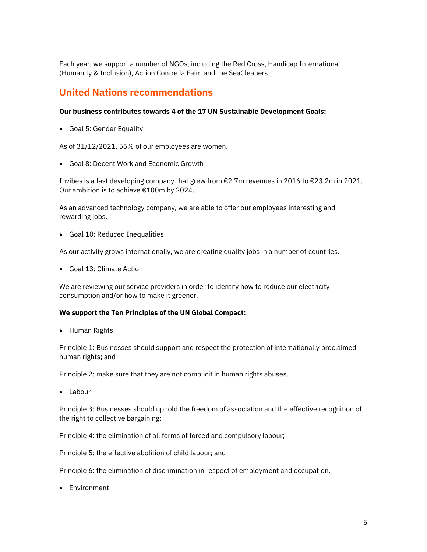Each year, we support a number of NGOs, including the Red Cross, Handicap International (Humanity & Inclusion), Action Contre la Faim and the SeaCleaners.

## **United Nations recommendations**

#### **Our business contributes towards 4 of the 17 UN Sustainable Development Goals:**

• Goal 5: Gender Equality

As of 31/12/2021, 56% of our employees are women.

• Goal 8: Decent Work and Economic Growth

Invibes is a fast developing company that grew from €2.7m revenues in 2016 to €23.2m in 2021. Our ambition is to achieve €100m by 2024.

As an advanced technology company, we are able to offer our employees interesting and rewarding jobs.

• Goal 10: Reduced Inequalities

As our activity grows internationally, we are creating quality jobs in a number of countries.

• Goal 13: Climate Action

We are reviewing our service providers in order to identify how to reduce our electricity consumption and/or how to make it greener.

#### **We support the Ten Principles of the UN Global Compact:**

• Human Rights

Principle 1: Businesses should support and respect the protection of internationally proclaimed human rights; and

Principle 2: make sure that they are not complicit in human rights abuses.

• Labour

Principle 3: Businesses should uphold the freedom of association and the effective recognition of the right to collective bargaining;

Principle 4: the elimination of all forms of forced and compulsory labour;

Principle 5: the effective abolition of child labour; and

Principle 6: the elimination of discrimination in respect of employment and occupation.

• Environment